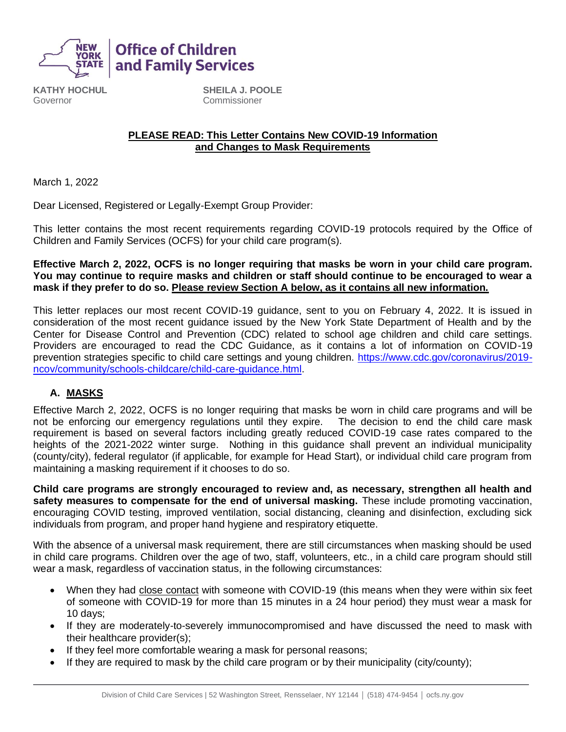

**KATHY HOCHUL** Governor

**SHEILA J. POOLE** Commissioner

#### **PLEASE READ: This Letter Contains New COVID-19 Information and Changes to Mask Requirements**

March 1, 2022

Dear Licensed, Registered or Legally-Exempt Group Provider:

**Office of Children** and Family Services

This letter contains the most recent requirements regarding COVID-19 protocols required by the Office of Children and Family Services (OCFS) for your child care program(s).

#### **Effective March 2, 2022, OCFS is no longer requiring that masks be worn in your child care program. You may continue to require masks and children or staff should continue to be encouraged to wear a mask if they prefer to do so. Please review Section A below, as it contains all new information.**

This letter replaces our most recent COVID-19 guidance, sent to you on February 4, 2022. It is issued in consideration of the most recent guidance issued by the New York State Department of Health and by the Center for Disease Control and Prevention (CDC) related to school age children and child care settings. Providers are encouraged to read the CDC Guidance, as it contains a lot of information on COVID-19 prevention strategies specific to child care settings and young children. [https://www.cdc.gov/coronavirus/2019](https://www.cdc.gov/coronavirus/2019-ncov/community/schools-childcare/child-care-guidance.html) [ncov/community/schools-childcare/child-care-guidance.html.](https://www.cdc.gov/coronavirus/2019-ncov/community/schools-childcare/child-care-guidance.html)

## **A. MASKS**

Effective March 2, 2022, OCFS is no longer requiring that masks be worn in child care programs and will be not be enforcing our emergency regulations until they expire. The decision to end the child care mask requirement is based on several factors including greatly reduced COVID-19 case rates compared to the heights of the 2021-2022 winter surge. Nothing in this guidance shall prevent an individual municipality (county/city), federal regulator (if applicable, for example for Head Start), or individual child care program from maintaining a masking requirement if it chooses to do so.

**Child care programs are strongly encouraged to review and, as necessary, strengthen all health and safety measures to compensate for the end of universal masking.** These include promoting vaccination, encouraging COVID testing, improved ventilation, social distancing, cleaning and disinfection, excluding sick individuals from program, and proper hand hygiene and respiratory etiquette.

With the absence of a universal mask requirement, there are still circumstances when masking should be used in child care programs. Children over the age of two, staff, volunteers, etc., in a child care program should still wear a mask, regardless of vaccination status, in the following circumstances:

- When they had close contact with someone with COVID-19 (this means when they were within six feet of someone with COVID-19 for more than 15 minutes in a 24 hour period) they must wear a mask for 10 days;
- If they are moderately-to-severely immunocompromised and have discussed the need to mask with their healthcare provider(s);
- If they feel more comfortable wearing a mask for personal reasons;
- If they are required to mask by the child care program or by their municipality (city/county);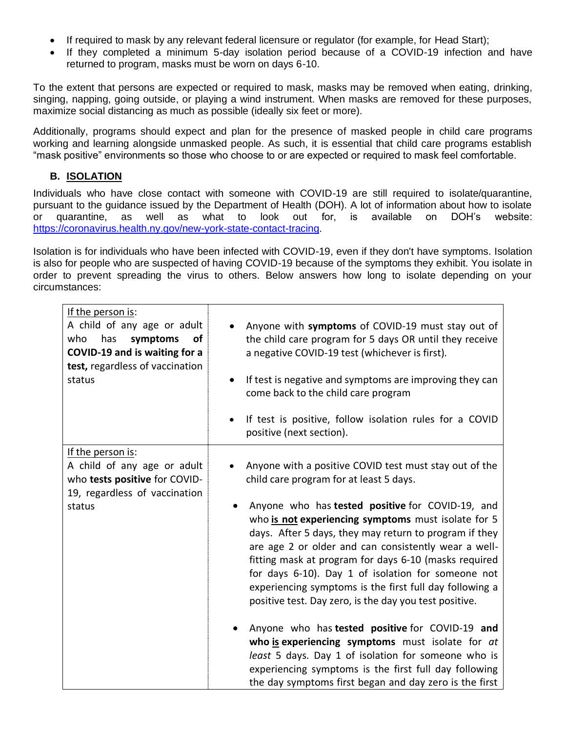- If required to mask by any relevant federal licensure or regulator (for example, for Head Start);
- If they completed a minimum 5-day isolation period because of a COVID-19 infection and have returned to program, masks must be worn on days 6-10.

To the extent that persons are expected or required to mask, masks may be removed when eating, drinking, singing, napping, going outside, or playing a wind instrument. When masks are removed for these purposes, maximize social distancing as much as possible (ideally six feet or more).

Additionally, programs should expect and plan for the presence of masked people in child care programs working and learning alongside unmasked people. As such, it is essential that child care programs establish "mask positive" environments so those who choose to or are expected or required to mask feel comfortable.

### **B. ISOLATION**

Individuals who have close contact with someone with COVID-19 are still required to isolate/quarantine, pursuant to the guidance issued by the Department of Health (DOH). A lot of information about how to isolate or quarantine, as well as what to look out for, is available on DOH's website: [https://coronavirus.health.ny.gov/new-york-state-contact-tracing.](https://coronavirus.health.ny.gov/new-york-state-contact-tracing)

Isolation is for individuals who have been infected with COVID-19, even if they don't have symptoms. Isolation is also for people who are suspected of having COVID-19 because of the symptoms they exhibit. You isolate in order to prevent spreading the virus to others. Below answers how long to isolate depending on your circumstances:

| If the person is:                                                                                                            | Anyone with symptoms of COVID-19 must stay out of                                                                                                                                                                                                                                                                                                                                                                                                                                                                                                                                                                                                                                                                                                                                                                                                          |
|------------------------------------------------------------------------------------------------------------------------------|------------------------------------------------------------------------------------------------------------------------------------------------------------------------------------------------------------------------------------------------------------------------------------------------------------------------------------------------------------------------------------------------------------------------------------------------------------------------------------------------------------------------------------------------------------------------------------------------------------------------------------------------------------------------------------------------------------------------------------------------------------------------------------------------------------------------------------------------------------|
| A child of any age or adult                                                                                                  | the child care program for 5 days OR until they receive                                                                                                                                                                                                                                                                                                                                                                                                                                                                                                                                                                                                                                                                                                                                                                                                    |
| has                                                                                                                          | a negative COVID-19 test (whichever is first).                                                                                                                                                                                                                                                                                                                                                                                                                                                                                                                                                                                                                                                                                                                                                                                                             |
| who                                                                                                                          | If test is negative and symptoms are improving they can                                                                                                                                                                                                                                                                                                                                                                                                                                                                                                                                                                                                                                                                                                                                                                                                    |
| symptoms                                                                                                                     | $\bullet$                                                                                                                                                                                                                                                                                                                                                                                                                                                                                                                                                                                                                                                                                                                                                                                                                                                  |
| <b>of</b>                                                                                                                    | come back to the child care program                                                                                                                                                                                                                                                                                                                                                                                                                                                                                                                                                                                                                                                                                                                                                                                                                        |
| COVID-19 and is waiting for a                                                                                                | If test is positive, follow isolation rules for a COVID                                                                                                                                                                                                                                                                                                                                                                                                                                                                                                                                                                                                                                                                                                                                                                                                    |
| test, regardless of vaccination                                                                                              | $\bullet$                                                                                                                                                                                                                                                                                                                                                                                                                                                                                                                                                                                                                                                                                                                                                                                                                                                  |
| status                                                                                                                       | positive (next section).                                                                                                                                                                                                                                                                                                                                                                                                                                                                                                                                                                                                                                                                                                                                                                                                                                   |
| If the person is:<br>A child of any age or adult<br>who tests positive for COVID-<br>19, regardless of vaccination<br>status | Anyone with a positive COVID test must stay out of the<br>child care program for at least 5 days.<br>Anyone who has <b>tested positive</b> for COVID-19, and<br>who is not experiencing symptoms must isolate for 5<br>days. After 5 days, they may return to program if they<br>are age 2 or older and can consistently wear a well-<br>fitting mask at program for days 6-10 (masks required<br>for days 6-10). Day 1 of isolation for someone not<br>experiencing symptoms is the first full day following a<br>positive test. Day zero, is the day you test positive.<br>Anyone who has tested positive for COVID-19 and<br>who is experiencing symptoms must isolate for at<br>least 5 days. Day 1 of isolation for someone who is<br>experiencing symptoms is the first full day following<br>the day symptoms first began and day zero is the first |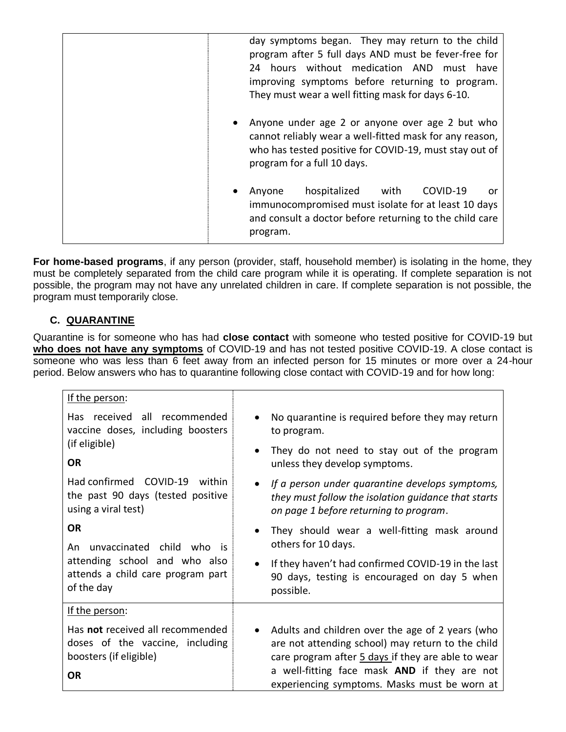| day symptoms began. They may return to the child<br>program after 5 full days AND must be fever-free for<br>hours without medication AND must have<br>24<br>improving symptoms before returning to program.<br>They must wear a well fitting mask for days 6-10. |
|------------------------------------------------------------------------------------------------------------------------------------------------------------------------------------------------------------------------------------------------------------------|
| Anyone under age 2 or anyone over age 2 but who<br>٠<br>cannot reliably wear a well-fitted mask for any reason,<br>who has tested positive for COVID-19, must stay out of<br>program for a full 10 days.                                                         |
| hospitalized<br>with<br>COVID-19<br>Anyone<br>or<br>٠<br>immunocompromised must isolate for at least 10 days<br>and consult a doctor before returning to the child care<br>program.                                                                              |

**For home-based programs**, if any person (provider, staff, household member) is isolating in the home, they must be completely separated from the child care program while it is operating. If complete separation is not possible, the program may not have any unrelated children in care. If complete separation is not possible, the program must temporarily close.

# **C. QUARANTINE**

Quarantine is for someone who has had **close contact** with someone who tested positive for COVID-19 but **who does not have any symptoms** of COVID-19 and has not tested positive COVID-19. A close contact is someone who was less than 6 feet away from an infected person for 15 minutes or more over a 24-hour period. Below answers who has to quarantine following close contact with COVID-19 and for how long:

| If the person:                                                                                                                |                                                                                                                                                                                                                                                             |
|-------------------------------------------------------------------------------------------------------------------------------|-------------------------------------------------------------------------------------------------------------------------------------------------------------------------------------------------------------------------------------------------------------|
| Has received all recommended<br>vaccine doses, including boosters<br>(if eligible)<br><b>OR</b>                               | No quarantine is required before they may return<br>to program.                                                                                                                                                                                             |
|                                                                                                                               | They do not need to stay out of the program<br>unless they develop symptoms.                                                                                                                                                                                |
| Had confirmed COVID-19 within<br>the past 90 days (tested positive<br>using a viral test)                                     | If a person under quarantine develops symptoms,<br>they must follow the isolation guidance that starts<br>on page 1 before returning to program.                                                                                                            |
| <b>OR</b><br>An unvaccinated child who is<br>attending school and who also<br>attends a child care program part<br>of the day | They should wear a well-fitting mask around<br>others for 10 days.                                                                                                                                                                                          |
|                                                                                                                               | If they haven't had confirmed COVID-19 in the last<br>90 days, testing is encouraged on day 5 when<br>possible.                                                                                                                                             |
| If the person:                                                                                                                |                                                                                                                                                                                                                                                             |
| Has not received all recommended<br>doses of the vaccine, including<br>boosters (if eligible)<br><b>OR</b>                    | Adults and children over the age of 2 years (who<br>are not attending school) may return to the child<br>care program after 5 days if they are able to wear<br>a well-fitting face mask AND if they are not<br>experiencing symptoms. Masks must be worn at |